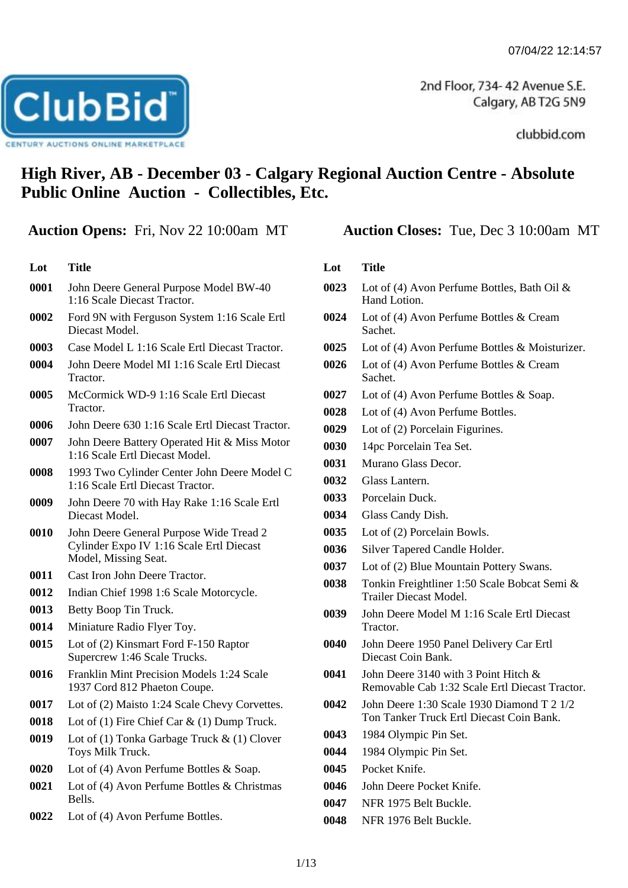2nd Floor, 734-42 Avenue S.E. Calgary, AB T2G 5N9

clubbid.com

# **High River, AB - December 03 - Calgary Regional Auction Centre - Absolute Public Online Auction - Collectibles, Etc.**

## **Auction Opens:** Fri, Nov 22 10:00am MT **Auction Closes:** Tue, Dec 3 10:00am MT

**ClubBid** 

**TURY AUCTIONS ONLINE MARKETPLA** 

**Lot Title** John Deere General Purpose Model BW-40 1:16 Scale Diecast Tractor. Ford 9N with Ferguson System 1:16 Scale Ertl Diecast Model. Case Model L 1:16 Scale Ertl Diecast Tractor. John Deere Model MI 1:16 Scale Ertl Diecast Tractor. McCormick WD-9 1:16 Scale Ertl Diecast Tractor. John Deere 630 1:16 Scale Ertl Diecast Tractor. John Deere Battery Operated Hit & Miss Motor 1:16 Scale Ertl Diecast Model. 1993 Two Cylinder Center John Deere Model C 1:16 Scale Ertl Diecast Tractor. John Deere 70 with Hay Rake 1:16 Scale Ertl Diecast Model. John Deere General Purpose Wide Tread 2 Cylinder Expo IV 1:16 Scale Ertl Diecast Model, Missing Seat. Cast Iron John Deere Tractor. Indian Chief 1998 1:6 Scale Motorcycle. Betty Boop Tin Truck. Miniature Radio Flyer Toy. Lot of (2) Kinsmart Ford F-150 Raptor Supercrew 1:46 Scale Trucks. Franklin Mint Precision Models 1:24 Scale 1937 Cord 812 Phaeton Coupe. Lot of (2) Maisto 1:24 Scale Chevy Corvettes. Lot of (1) Fire Chief Car & (1) Dump Truck. Lot of (1) Tonka Garbage Truck & (1) Clover Toys Milk Truck. Lot of (4) Avon Perfume Bottles & Soap. Lot of (4) Avon Perfume Bottles & Christmas Bells. Lot of (4) Avon Perfume Bottles.

- **0023** Lot of (4) Avon Perfume Bottles, Bath Oil & Hand Lotion.
- **0024** Lot of (4) Avon Perfume Bottles & Cream Sachet.
- **0025** Lot of (4) Avon Perfume Bottles & Moisturizer.
- **0026** Lot of (4) Avon Perfume Bottles & Cream Sachet.
- **0027** Lot of (4) Avon Perfume Bottles & Soap.
- **0028** Lot of (4) Avon Perfume Bottles.
- **0029** Lot of (2) Porcelain Figurines.
- **0030** 14pc Porcelain Tea Set.
- **0031** Murano Glass Decor.
- **0032** Glass Lantern.
- **0033** Porcelain Duck.
- **0034** Glass Candy Dish.
- **0035** Lot of (2) Porcelain Bowls.
- **0036** Silver Tapered Candle Holder.
- **0037** Lot of (2) Blue Mountain Pottery Swans.
- **0038** Tonkin Freightliner 1:50 Scale Bobcat Semi & Trailer Diecast Model.
- **0039** John Deere Model M 1:16 Scale Ertl Diecast Tractor.
- **0040** John Deere 1950 Panel Delivery Car Ertl Diecast Coin Bank.
- **0041** John Deere 3140 with 3 Point Hitch & Removable Cab 1:32 Scale Ertl Diecast Tractor.
- **0042** John Deere 1:30 Scale 1930 Diamond T 2 1/2 Ton Tanker Truck Ertl Diecast Coin Bank.
- **0043** 1984 Olympic Pin Set.
- **0044** 1984 Olympic Pin Set.
- **0045** Pocket Knife.
- **0046** John Deere Pocket Knife.
- **0047** NFR 1975 Belt Buckle.
- **0048** NFR 1976 Belt Buckle.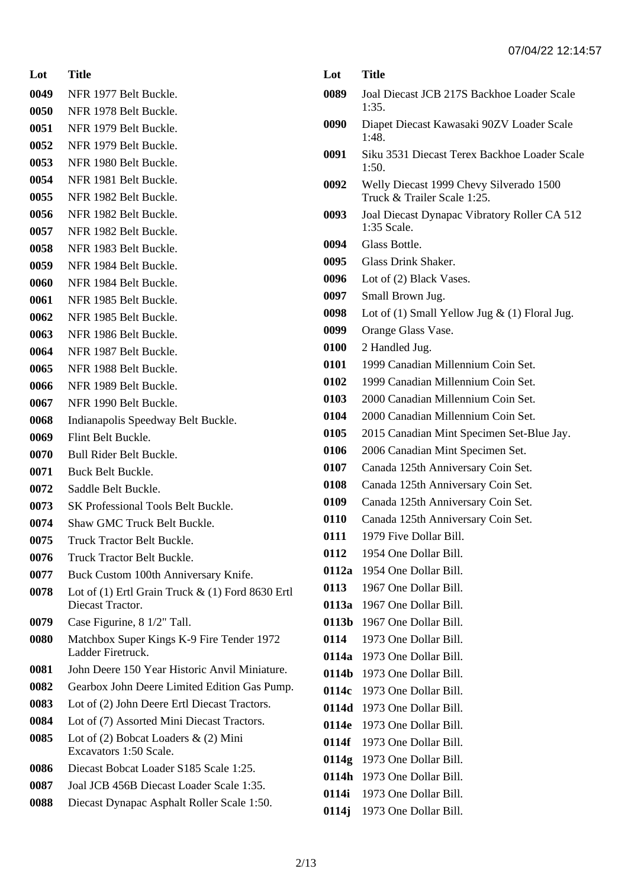| Lot          | <b>Title</b>                                                       |
|--------------|--------------------------------------------------------------------|
| 0049         | NFR 1977 Belt Buckle.                                              |
| 0050         | NFR 1978 Belt Buckle.                                              |
| 0051         | NFR 1979 Belt Buckle.                                              |
| 0052         | NFR 1979 Belt Buckle.                                              |
| 0053         | NFR 1980 Belt Buckle.                                              |
| 0054         | NFR 1981 Belt Buckle.                                              |
| 0055         | NFR 1982 Belt Buckle.                                              |
| 0056         | NFR 1982 Belt Buckle.                                              |
| 0057         | NFR 1982 Belt Buckle.                                              |
| 0058         | NFR 1983 Belt Buckle.                                              |
| 0059         | NFR 1984 Belt Buckle.                                              |
| 0060         | NFR 1984 Belt Buckle.                                              |
| 0061         | NFR 1985 Belt Buckle.                                              |
| 0062         | NFR 1985 Belt Buckle.                                              |
| 0063         | NFR 1986 Belt Buckle.                                              |
| 0064         | NFR 1987 Belt Buckle.                                              |
| 0065         | NFR 1988 Belt Buckle.                                              |
| 0066         | NFR 1989 Belt Buckle.                                              |
| 0067         | NFR 1990 Belt Buckle.                                              |
| 0068         | Indianapolis Speedway Belt Buckle.                                 |
| 0069         | Flint Belt Buckle.                                                 |
| 0070         | Bull Rider Belt Buckle.                                            |
| 0071         | Buck Belt Buckle.                                                  |
| 0072<br>0073 | Saddle Belt Buckle.<br><b>SK Professional Tools Belt Buckle.</b>   |
| 0074         | <b>Shaw GMC Truck Belt Buckle.</b>                                 |
| 0075         | Truck Tractor Belt Buckle.                                         |
| 0076         | <b>Truck Tractor Belt Buckle.</b>                                  |
| 0077         | Buck Custom 100th Anniversary Knife.                               |
| 0078         | Lot of $(1)$ Ertl Grain Truck $\&$ $(1)$ Ford 8630 Ertl            |
|              | Diecast Tractor.                                                   |
| 0079         | Case Figurine, 8 1/2" Tall.                                        |
| 0080         | Matchbox Super Kings K-9 Fire Tender 1972<br>Ladder Firetruck.     |
| 0081         | John Deere 150 Year Historic Anvil Miniature.                      |
| 0082         | Gearbox John Deere Limited Edition Gas Pump.                       |
| 0083         | Lot of (2) John Deere Ertl Diecast Tractors.                       |
| 0084         | Lot of (7) Assorted Mini Diecast Tractors.                         |
| 0085         | Lot of $(2)$ Bobcat Loaders & $(2)$ Mini<br>Excavators 1:50 Scale. |
| 0086         | Diecast Bobcat Loader S185 Scale 1:25.                             |
| 0087         | Joal JCB 456B Diecast Loader Scale 1:35.                           |
| 0088         | Diecast Dynapac Asphalt Roller Scale 1:50.                         |

| Lot   | Title                                                                  |
|-------|------------------------------------------------------------------------|
| 0089  | Joal Diecast JCB 217S Backhoe Loader Scale<br>1:35.                    |
| 0090  | Diapet Diecast Kawasaki 90ZV Loader Scale<br>1:48.                     |
| 0091  | Siku 3531 Diecast Terex Backhoe Loader Scale<br>1:50.                  |
| 0092  | Welly Diecast 1999 Chevy Silverado 1500<br>Truck & Trailer Scale 1:25. |
| 0093  | Joal Diecast Dynapac Vibratory Roller CA 512<br>1:35 Scale.            |
| 0094  | Glass Bottle.                                                          |
| 0095  | <b>Glass Drink Shaker.</b>                                             |
| 0096  | Lot of (2) Black Vases.                                                |
| 0097  | Small Brown Jug.                                                       |
| 0098  | Lot of (1) Small Yellow Jug $\&$ (1) Floral Jug.                       |
| 0099  | Orange Glass Vase.                                                     |
| 0100  | 2 Handled Jug.                                                         |
| 0101  | 1999 Canadian Millennium Coin Set.                                     |
| 0102  | 1999 Canadian Millennium Coin Set.                                     |
| 0103  | 2000 Canadian Millennium Coin Set.                                     |
| 0104  | 2000 Canadian Millennium Coin Set.                                     |
| 0105  | 2015 Canadian Mint Specimen Set-Blue Jay.                              |
| 0106  | 2006 Canadian Mint Specimen Set.                                       |
| 0107  | Canada 125th Anniversary Coin Set.                                     |
| 0108  | Canada 125th Anniversary Coin Set.                                     |
| 0109  | Canada 125th Anniversary Coin Set.                                     |
| 0110  | Canada 125th Anniversary Coin Set.                                     |
| 0111  | 1979 Five Dollar Bill.                                                 |
| 0112  | 1954 One Dollar Bill.                                                  |
| 0112a | 1954 One Dollar Bill.                                                  |
| 0113  | 1967 One Dollar Bill.                                                  |
| 0113a | 1967 One Dollar Bill.                                                  |
| 0113b | 1967 One Dollar Bill.                                                  |
| 0114  | 1973 One Dollar Bill.                                                  |
| 0114a | 1973 One Dollar Bill.                                                  |
| 0114b | 1973 One Dollar Bill.                                                  |
| 0114c | 1973 One Dollar Bill.                                                  |
| 0114d | 1973 One Dollar Bill.                                                  |
| 0114e | 1973 One Dollar Bill.                                                  |
| 0114f | 1973 One Dollar Bill.                                                  |
| 0114g | 1973 One Dollar Bill.                                                  |
| 0114h | 1973 One Dollar Bill.                                                  |
| 0114i | 1973 One Dollar Bill.                                                  |
| 0114j | 1973 One Dollar Bill.                                                  |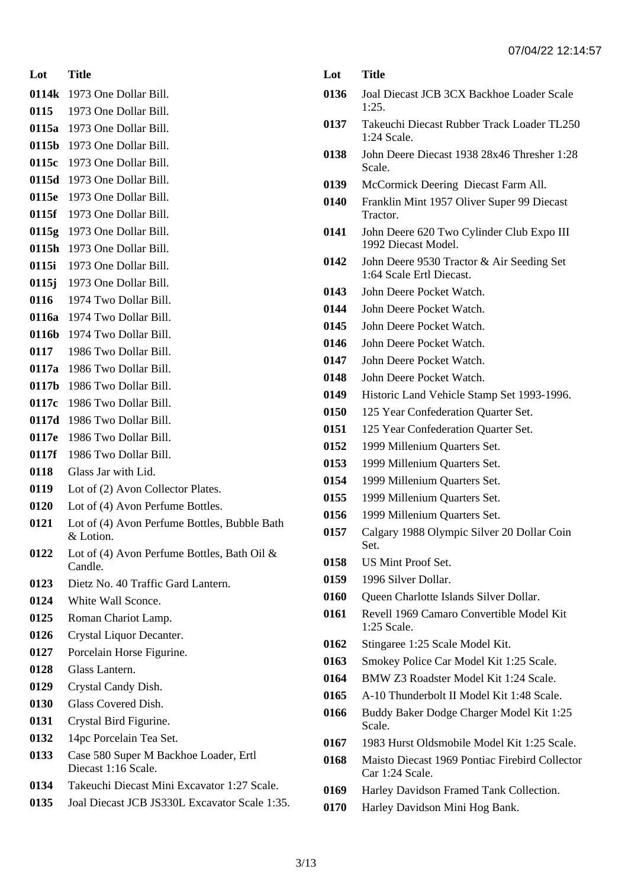**0114k** 1973 One Dollar Bill. 1973 One Dollar Bill.

- **0115a** 1973 One Dollar Bill.
- **0115b** 1973 One Dollar Bill.
- **0115c** 1973 One Dollar Bill.
- **0115d** 1973 One Dollar Bill.
- **0115e** 1973 One Dollar Bill.
- **0115f** 1973 One Dollar Bill.
- **0115g** 1973 One Dollar Bill.
- **0115h** 1973 One Dollar Bill.
- **0115i** 1973 One Dollar Bill.
- **0115j** 1973 One Dollar Bill.
- 1974 Two Dollar Bill.
- **0116a** 1974 Two Dollar Bill.
- **0116b** 1974 Two Dollar Bill.
- 1986 Two Dollar Bill.
- **0117a** 1986 Two Dollar Bill. **0117b** 1986 Two Dollar Bill.
- **0117c** 1986 Two Dollar Bill.
- **0117d** 1986 Two Dollar Bill.
- **0117e** 1986 Two Dollar Bill.
- **0117f** 1986 Two Dollar Bill.
- Glass Jar with Lid.
- Lot of (2) Avon Collector Plates.
- Lot of (4) Avon Perfume Bottles.
- Lot of (4) Avon Perfume Bottles, Bubble Bath & Lotion.
- Lot of (4) Avon Perfume Bottles, Bath Oil & Candle.
- Dietz No. 40 Traffic Gard Lantern.
- White Wall Sconce.
- Roman Chariot Lamp.
- Crystal Liquor Decanter.
- Porcelain Horse Figurine.
- Glass Lantern.
- Crystal Candy Dish.
- Glass Covered Dish.
- Crystal Bird Figurine.
- 14pc Porcelain Tea Set.
- Case 580 Super M Backhoe Loader, Ertl Diecast 1:16 Scale.
- Takeuchi Diecast Mini Excavator 1:27 Scale.
- Joal Diecast JCB JS330L Excavator Scale 1:35.

| Lot  | <b>Title</b>                                                          |
|------|-----------------------------------------------------------------------|
| 0136 | Joal Diecast JCB 3CX Backhoe Loader Scale<br>1:25.                    |
| 0137 | Takeuchi Diecast Rubber Track Loader TL250<br>1:24 Scale.             |
| 0138 | John Deere Diecast 1938 28x46 Thresher 1:28<br>Scale.                 |
| 0139 | McCormick Deering Diecast Farm All.                                   |
| 0140 | Franklin Mint 1957 Oliver Super 99 Diecast<br>Tractor.                |
| 0141 | John Deere 620 Two Cylinder Club Expo III<br>1992 Diecast Model.      |
| 0142 | John Deere 9530 Tractor & Air Seeding Set<br>1:64 Scale Ertl Diecast. |
| 0143 | John Deere Pocket Watch.                                              |
| 0144 | John Deere Pocket Watch.                                              |
| 0145 | John Deere Pocket Watch.                                              |
| 0146 | John Deere Pocket Watch.                                              |
| 0147 | John Deere Pocket Watch.                                              |
| 0148 | John Deere Pocket Watch.                                              |
| 0149 | Historic Land Vehicle Stamp Set 1993-1996.                            |
| 0150 | 125 Year Confederation Quarter Set.                                   |
| 0151 | 125 Year Confederation Quarter Set.                                   |
| 0152 | 1999 Millenium Quarters Set.                                          |
| 0153 | 1999 Millenium Quarters Set.                                          |
| 0154 | 1999 Millenium Quarters Set.                                          |
| 0155 | 1999 Millenium Quarters Set.                                          |
| 0156 | 1999 Millenium Quarters Set.                                          |
| 0157 | Calgary 1988 Olympic Silver 20 Dollar Coin<br>Set.                    |
| 0158 | <b>US Mint Proof Set.</b>                                             |
| 0159 | 1996 Silver Dollar.                                                   |
| 0160 | Queen Charlotte Islands Silver Dollar.                                |
| 0161 | Revell 1969 Camaro Convertible Model Kit<br>1:25 Scale.               |
| 0162 | Stingaree 1:25 Scale Model Kit.                                       |
| 0163 | Smokey Police Car Model Kit 1:25 Scale.                               |
| 0164 | BMW Z3 Roadster Model Kit 1:24 Scale.                                 |
| 0165 | A-10 Thunderbolt II Model Kit 1:48 Scale.                             |
| 0166 | Buddy Baker Dodge Charger Model Kit 1:25<br>Scale.                    |
| 0167 | 1983 Hurst Oldsmobile Model Kit 1:25 Scale.                           |
| 0168 | Maisto Diecast 1969 Pontiac Firebird Collector<br>Car 1:24 Scale.     |
| 0169 | Harley Davidson Framed Tank Collection.                               |
| 0170 | Harley Davidson Mini Hog Bank.                                        |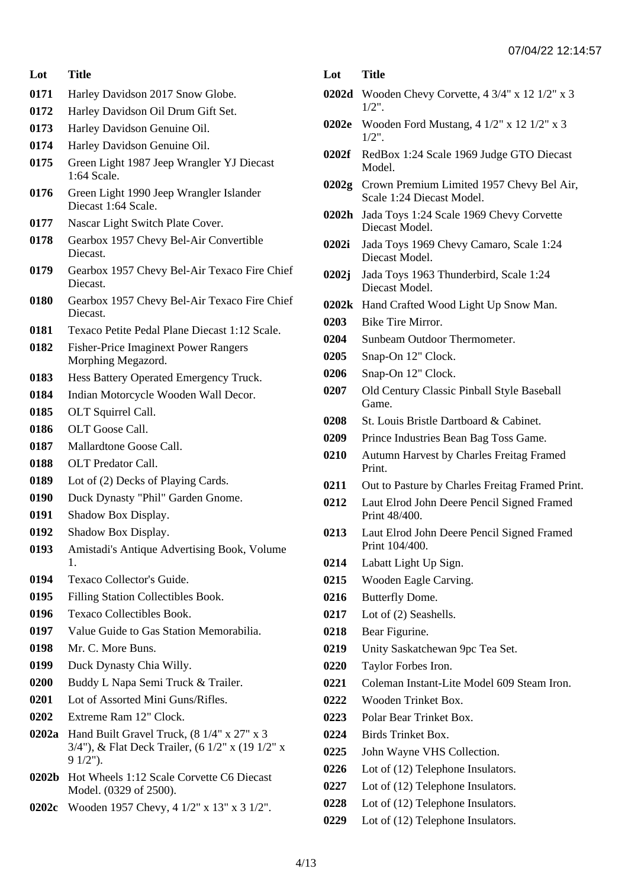- Harley Davidson 2017 Snow Globe.
- Harley Davidson Oil Drum Gift Set.
- Harley Davidson Genuine Oil.
- Harley Davidson Genuine Oil.
- Green Light 1987 Jeep Wrangler YJ Diecast 1:64 Scale.
- Green Light 1990 Jeep Wrangler Islander Diecast 1:64 Scale.
- Nascar Light Switch Plate Cover.
- Gearbox 1957 Chevy Bel-Air Convertible Diecast.
- Gearbox 1957 Chevy Bel-Air Texaco Fire Chief Diecast.
- Gearbox 1957 Chevy Bel-Air Texaco Fire Chief Diecast.
- Texaco Petite Pedal Plane Diecast 1:12 Scale.
- Fisher-Price Imaginext Power Rangers Morphing Megazord.
- Hess Battery Operated Emergency Truck.
- Indian Motorcycle Wooden Wall Decor.
- 0185 OLT Squirrel Call.
- OLT Goose Call.
- Mallardtone Goose Call.
- OLT Predator Call.
- Lot of (2) Decks of Playing Cards.
- Duck Dynasty "Phil" Garden Gnome.
- Shadow Box Display.
- Shadow Box Display.
- Amistadi's Antique Advertising Book, Volume 1.
- Texaco Collector's Guide.
- Filling Station Collectibles Book.
- Texaco Collectibles Book.
- Value Guide to Gas Station Memorabilia.
- Mr. C. More Buns.
- Duck Dynasty Chia Willy.
- Buddy L Napa Semi Truck & Trailer.
- Lot of Assorted Mini Guns/Rifles.
- Extreme Ram 12" Clock.
- **0202a** Hand Built Gravel Truck, (8 1/4" x 27" x 3 3/4"), & Flat Deck Trailer, (6 1/2" x (19 1/2" x 9 1/2").
- **0202b** Hot Wheels 1:12 Scale Corvette C6 Diecast Model. (0329 of 2500).
- **0202c** Wooden 1957 Chevy, 4 1/2" x 13" x 3 1/2".
- **Lot Title**
- **0202d** Wooden Chevy Corvette, 4 3/4" x 12 1/2" x 3 1/2".
- **0202e** Wooden Ford Mustang, 4 1/2" x 12 1/2" x 3 1/2".
- **0202f** RedBox 1:24 Scale 1969 Judge GTO Diecast Model.
- **0202g** Crown Premium Limited 1957 Chevy Bel Air, Scale 1:24 Diecast Model.
- **0202h** Jada Toys 1:24 Scale 1969 Chevy Corvette Diecast Model.
- **0202i** Jada Toys 1969 Chevy Camaro, Scale 1:24 Diecast Model.
- **0202j** Jada Toys 1963 Thunderbird, Scale 1:24 Diecast Model.
- **0202k** Hand Crafted Wood Light Up Snow Man.
- Bike Tire Mirror.
- Sunbeam Outdoor Thermometer.
- Snap-On 12" Clock.
- Snap-On 12" Clock.
- Old Century Classic Pinball Style Baseball Game.
- St. Louis Bristle Dartboard & Cabinet.
- Prince Industries Bean Bag Toss Game.
- Autumn Harvest by Charles Freitag Framed Print.
- Out to Pasture by Charles Freitag Framed Print.
- Laut Elrod John Deere Pencil Signed Framed Print 48/400.
- Laut Elrod John Deere Pencil Signed Framed Print 104/400.
- Labatt Light Up Sign.
- Wooden Eagle Carving.
- Butterfly Dome.
- Lot of (2) Seashells.
- Bear Figurine.
- Unity Saskatchewan 9pc Tea Set.
- Taylor Forbes Iron.
- Coleman Instant-Lite Model 609 Steam Iron.
- Wooden Trinket Box.
- Polar Bear Trinket Box.
- Birds Trinket Box.
- John Wayne VHS Collection.
- Lot of (12) Telephone Insulators.
- Lot of (12) Telephone Insulators.
- Lot of (12) Telephone Insulators.
- Lot of (12) Telephone Insulators.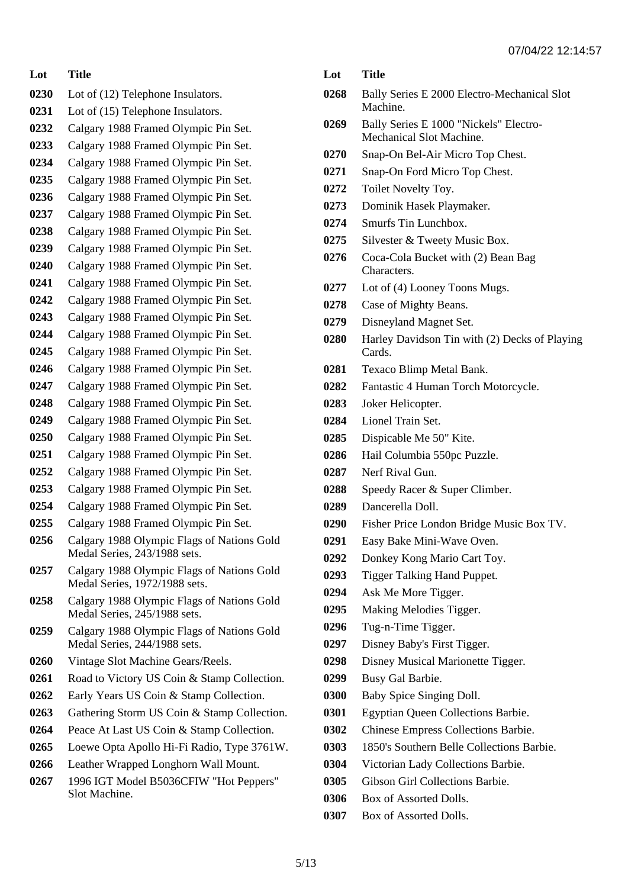| Lot  | <b>Title</b>                                                                |
|------|-----------------------------------------------------------------------------|
| 0230 | Lot of (12) Telephone Insulators.                                           |
| 0231 | Lot of (15) Telephone Insulators.                                           |
| 0232 | Calgary 1988 Framed Olympic Pin Set.                                        |
| 0233 | Calgary 1988 Framed Olympic Pin Set.                                        |
| 0234 | Calgary 1988 Framed Olympic Pin Set.                                        |
| 0235 | Calgary 1988 Framed Olympic Pin Set.                                        |
| 0236 | Calgary 1988 Framed Olympic Pin Set.                                        |
| 0237 | Calgary 1988 Framed Olympic Pin Set.                                        |
| 0238 | Calgary 1988 Framed Olympic Pin Set.                                        |
| 0239 | Calgary 1988 Framed Olympic Pin Set.                                        |
| 0240 | Calgary 1988 Framed Olympic Pin Set.                                        |
| 0241 | Calgary 1988 Framed Olympic Pin Set.                                        |
| 0242 | Calgary 1988 Framed Olympic Pin Set.                                        |
| 0243 | Calgary 1988 Framed Olympic Pin Set.                                        |
| 0244 | Calgary 1988 Framed Olympic Pin Set.                                        |
| 0245 | Calgary 1988 Framed Olympic Pin Set.                                        |
| 0246 | Calgary 1988 Framed Olympic Pin Set.                                        |
| 0247 | Calgary 1988 Framed Olympic Pin Set.                                        |
| 0248 | Calgary 1988 Framed Olympic Pin Set.                                        |
| 0249 | Calgary 1988 Framed Olympic Pin Set.                                        |
| 0250 | Calgary 1988 Framed Olympic Pin Set.                                        |
| 0251 | Calgary 1988 Framed Olympic Pin Set.                                        |
| 0252 | Calgary 1988 Framed Olympic Pin Set.                                        |
| 0253 | Calgary 1988 Framed Olympic Pin Set.                                        |
| 0254 | Calgary 1988 Framed Olympic Pin Set.                                        |
| 0255 | Calgary 1988 Framed Olympic Pin Set.                                        |
| 0256 | Calgary 1988 Olympic Flags of Nations Gold<br>Medal Series, 243/1988 sets.  |
| 0257 | Calgary 1988 Olympic Flags of Nations Gold<br>Medal Series, 1972/1988 sets. |
| 0258 | Calgary 1988 Olympic Flags of Nations Gold<br>Medal Series, 245/1988 sets.  |
| 0259 | Calgary 1988 Olympic Flags of Nations Gold<br>Medal Series, 244/1988 sets.  |
| 0260 | Vintage Slot Machine Gears/Reels.                                           |
| 0261 | Road to Victory US Coin & Stamp Collection.                                 |
| 0262 | Early Years US Coin & Stamp Collection.                                     |
| 0263 | Gathering Storm US Coin & Stamp Collection.                                 |
| 0264 | Peace At Last US Coin & Stamp Collection.                                   |
| 0265 | Loewe Opta Apollo Hi-Fi Radio, Type 3761W.                                  |
| 0266 | Leather Wrapped Longhorn Wall Mount.                                        |
| 0267 | 1996 IGT Model B5036CFIW "Hot Peppers"<br>Slot Machine.                     |
|      |                                                                             |

| Lot          | Title                                                                            |
|--------------|----------------------------------------------------------------------------------|
| 0268         | Bally Series E 2000 Electro-Mechanical Slot<br>Machine.                          |
| 0269         | Bally Series E 1000 "Nickels" Electro-<br>Mechanical Slot Machine.               |
| 0270         | Snap-On Bel-Air Micro Top Chest.                                                 |
| 0271         | Snap-On Ford Micro Top Chest.                                                    |
| 0272         | Toilet Novelty Toy.                                                              |
| 0273         | Dominik Hasek Playmaker.                                                         |
| 0274         | Smurfs Tin Lunchbox.                                                             |
| 0275         | Silvester & Tweety Music Box.                                                    |
| 0276         | Coca-Cola Bucket with (2) Bean Bag<br>Characters.                                |
| 0277         | Lot of (4) Looney Toons Mugs.                                                    |
| 0278         | Case of Mighty Beans.                                                            |
| 0279         | Disneyland Magnet Set.                                                           |
| 0280         | Harley Davidson Tin with (2) Decks of Playing<br>Cards.                          |
| 0281         | Texaco Blimp Metal Bank.                                                         |
| 0282         | Fantastic 4 Human Torch Motorcycle.                                              |
| 0283         | Joker Helicopter.                                                                |
| 0284         | Lionel Train Set.                                                                |
| 0285         | Dispicable Me 50" Kite.                                                          |
| 0286         | Hail Columbia 550pc Puzzle.                                                      |
| 0287         | Nerf Rival Gun.                                                                  |
| 0288         | Speedy Racer & Super Climber.                                                    |
| 0289         | Dancerella Doll                                                                  |
| 0290         | Fisher Price London Bridge Music Box TV.                                         |
| 0291         | Easy Bake Mini-Wave Oven.                                                        |
| 0292         | Donkey Kong Mario Cart Toy.                                                      |
| 0293         | Tigger Talking Hand Puppet.                                                      |
| 0294         | Ask Me More Tigger.                                                              |
| 0295         | Making Melodies Tigger.                                                          |
| 0296         | Tug-n-Time Tigger.                                                               |
| 0297         | Disney Baby's First Tigger.                                                      |
| 0298         | Disney Musical Marionette Tigger.                                                |
| 0299         | Busy Gal Barbie.                                                                 |
| 0300         | Baby Spice Singing Doll.                                                         |
| 0301<br>0302 | <b>Egyptian Queen Collections Barbie.</b>                                        |
|              | Chinese Empress Collections Barbie.<br>1850's Southern Belle Collections Barbie. |
| 0303<br>0304 |                                                                                  |
| 0305         | Victorian Lady Collections Barbie.<br>Gibson Girl Collections Barbie.            |
| 0306         | Box of Assorted Dolls.                                                           |
| 0307         | Box of Assorted Dolls.                                                           |
|              |                                                                                  |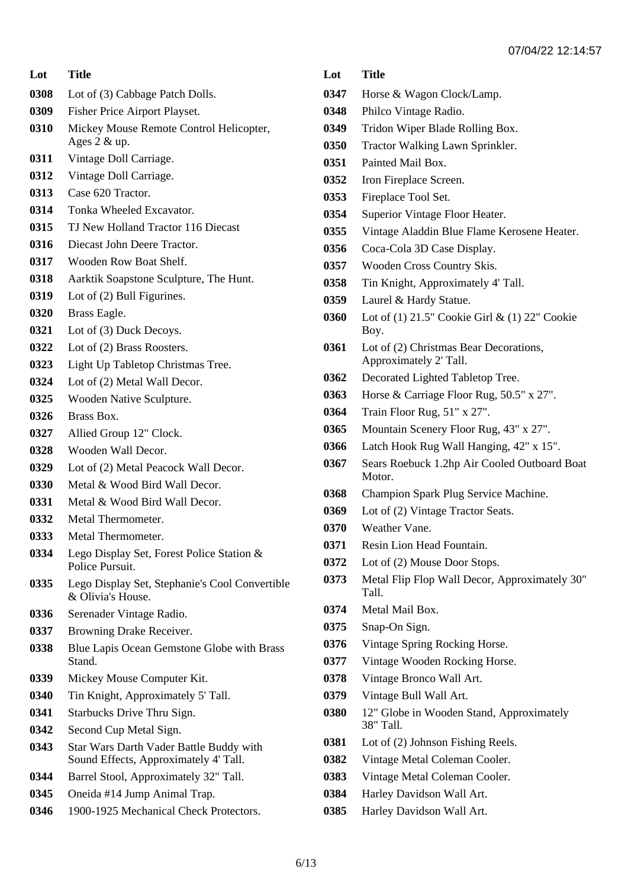**Lot Title** Lot of (3) Cabbage Patch Dolls. Fisher Price Airport Playset. Mickey Mouse Remote Control Helicopter, Ages 2 & up. Vintage Doll Carriage. Vintage Doll Carriage. Case 620 Tractor. Tonka Wheeled Excavator. TJ New Holland Tractor 116 Diecast Diecast John Deere Tractor. Wooden Row Boat Shelf. Aarktik Soapstone Sculpture, The Hunt. Lot of (2) Bull Figurines. Brass Eagle. Lot of (3) Duck Decoys. Lot of (2) Brass Roosters. Light Up Tabletop Christmas Tree. Lot of (2) Metal Wall Decor. Wooden Native Sculpture. Brass Box. Allied Group 12" Clock. Wooden Wall Decor. Lot of (2) Metal Peacock Wall Decor. Metal & Wood Bird Wall Decor. Metal & Wood Bird Wall Decor. Metal Thermometer. Metal Thermometer. Lego Display Set, Forest Police Station & Police Pursuit. Lego Display Set, Stephanie's Cool Convertible & Olivia's House. Serenader Vintage Radio. Browning Drake Receiver. Blue Lapis Ocean Gemstone Globe with Brass Stand. Mickey Mouse Computer Kit. Tin Knight, Approximately 5' Tall. Starbucks Drive Thru Sign. Second Cup Metal Sign. Star Wars Darth Vader Battle Buddy with Sound Effects, Approximately 4' Tall. Barrel Stool, Approximately 32" Tall. Oneida #14 Jump Animal Trap. 1900-1925 Mechanical Check Protectors.

## **Lot Title** Horse & Wagon Clock/Lamp. Philco Vintage Radio. Tridon Wiper Blade Rolling Box. Tractor Walking Lawn Sprinkler. Painted Mail Box. Iron Fireplace Screen. Fireplace Tool Set. Superior Vintage Floor Heater. Vintage Aladdin Blue Flame Kerosene Heater. Coca-Cola 3D Case Display. Wooden Cross Country Skis. Tin Knight, Approximately 4' Tall. Laurel & Hardy Statue. Lot of (1) 21.5" Cookie Girl & (1) 22" Cookie Boy. Lot of (2) Christmas Bear Decorations, Approximately 2' Tall. Decorated Lighted Tabletop Tree. Horse & Carriage Floor Rug, 50.5" x 27". Train Floor Rug, 51" x 27". Mountain Scenery Floor Rug, 43" x 27". Latch Hook Rug Wall Hanging, 42" x 15". Sears Roebuck 1.2hp Air Cooled Outboard Boat Motor. Champion Spark Plug Service Machine. Lot of (2) Vintage Tractor Seats. Weather Vane. Resin Lion Head Fountain. Lot of (2) Mouse Door Stops. Metal Flip Flop Wall Decor, Approximately 30" Tall. Metal Mail Box. Snap-On Sign. Vintage Spring Rocking Horse. Vintage Wooden Rocking Horse. Vintage Bronco Wall Art. Vintage Bull Wall Art. 12" Globe in Wooden Stand, Approximately 38" Tall. Lot of (2) Johnson Fishing Reels. Vintage Metal Coleman Cooler. Vintage Metal Coleman Cooler. Harley Davidson Wall Art. Harley Davidson Wall Art.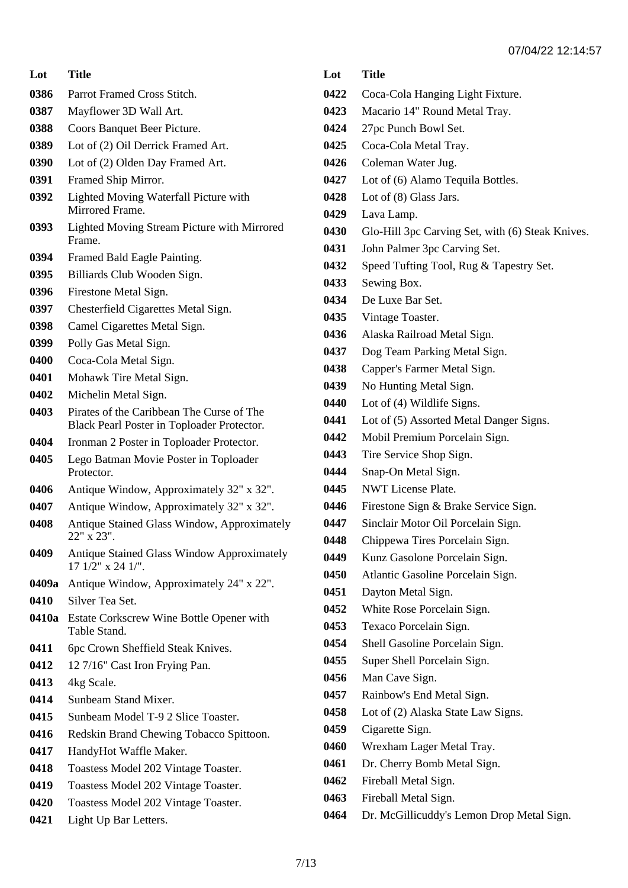- Parrot Framed Cross Stitch.
- Mayflower 3D Wall Art.
- Coors Banquet Beer Picture.
- Lot of (2) Oil Derrick Framed Art.
- Lot of (2) Olden Day Framed Art.
- Framed Ship Mirror.
- Lighted Moving Waterfall Picture with Mirrored Frame.
- Lighted Moving Stream Picture with Mirrored Frame.
- Framed Bald Eagle Painting.
- Billiards Club Wooden Sign.
- Firestone Metal Sign.
- Chesterfield Cigarettes Metal Sign.
- Camel Cigarettes Metal Sign.
- Polly Gas Metal Sign.
- Coca-Cola Metal Sign.
- Mohawk Tire Metal Sign.
- Michelin Metal Sign.
- Pirates of the Caribbean The Curse of The Black Pearl Poster in Toploader Protector.
- Ironman 2 Poster in Toploader Protector.
- Lego Batman Movie Poster in Toploader Protector.
- Antique Window, Approximately 32" x 32".
- Antique Window, Approximately 32" x 32".
- Antique Stained Glass Window, Approximately 22" x 23".
- Antique Stained Glass Window Approximately 17 1/2" x 24 1/".
- **0409a** Antique Window, Approximately 24" x 22".
- Silver Tea Set.
- **0410a** Estate Corkscrew Wine Bottle Opener with Table Stand.
- 6pc Crown Sheffield Steak Knives.
- 12 7/16" Cast Iron Frying Pan.
- 4kg Scale.
- Sunbeam Stand Mixer.
- Sunbeam Model T-9 2 Slice Toaster.
- Redskin Brand Chewing Tobacco Spittoon.
- HandyHot Waffle Maker.
- Toastess Model 202 Vintage Toaster.
- Toastess Model 202 Vintage Toaster.
- Toastess Model 202 Vintage Toaster.
- Light Up Bar Letters.

- Coca-Cola Hanging Light Fixture.
- Macario 14" Round Metal Tray.
- 27pc Punch Bowl Set.
- Coca-Cola Metal Tray.
- Coleman Water Jug.
- Lot of (6) Alamo Tequila Bottles.
- Lot of (8) Glass Jars.
- Lava Lamp.
- Glo-Hill 3pc Carving Set, with (6) Steak Knives.
- John Palmer 3pc Carving Set.
- Speed Tufting Tool, Rug & Tapestry Set.
- Sewing Box.
- De Luxe Bar Set.
- Vintage Toaster.
- Alaska Railroad Metal Sign.
- Dog Team Parking Metal Sign.
- Capper's Farmer Metal Sign.
- No Hunting Metal Sign.
- Lot of (4) Wildlife Signs.
- Lot of (5) Assorted Metal Danger Signs.
- Mobil Premium Porcelain Sign.
- Tire Service Shop Sign.
- Snap-On Metal Sign.
- NWT License Plate.
- Firestone Sign & Brake Service Sign.
- Sinclair Motor Oil Porcelain Sign.
- Chippewa Tires Porcelain Sign.
- Kunz Gasolone Porcelain Sign.
- Atlantic Gasoline Porcelain Sign.
- Dayton Metal Sign.
- White Rose Porcelain Sign.
- Texaco Porcelain Sign.
- Shell Gasoline Porcelain Sign.
- Super Shell Porcelain Sign.
- Man Cave Sign.
- Rainbow's End Metal Sign.
- Lot of (2) Alaska State Law Signs.
- Cigarette Sign.
- Wrexham Lager Metal Tray.
- Dr. Cherry Bomb Metal Sign.
- Fireball Metal Sign.
- Fireball Metal Sign.
- Dr. McGillicuddy's Lemon Drop Metal Sign.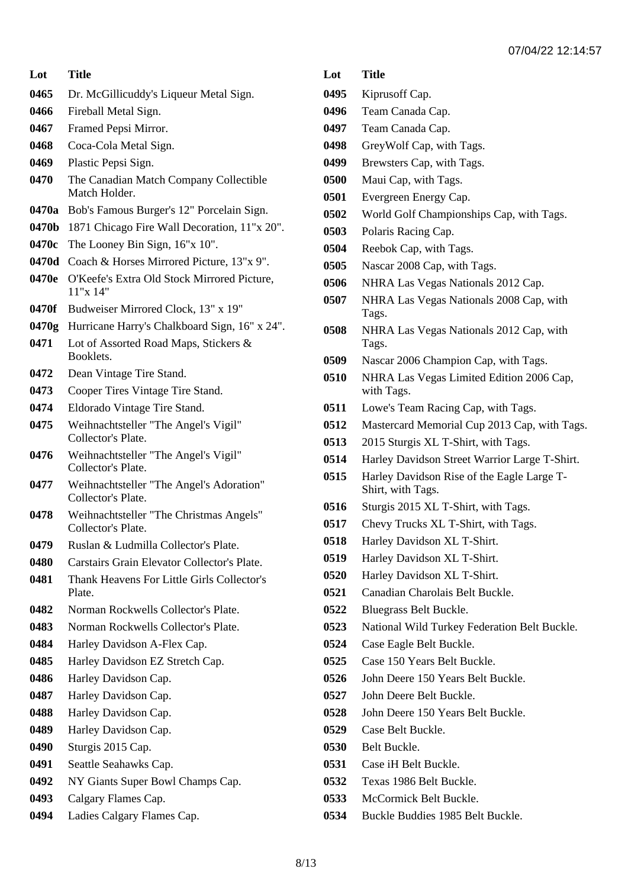| Lot   | <b>Title</b>                                                   |
|-------|----------------------------------------------------------------|
| 0465  | Dr. McGillicuddy's Liqueur Metal Sign.                         |
| 0466  | Fireball Metal Sign.                                           |
| 0467  | Framed Pepsi Mirror.                                           |
| 0468  | Coca-Cola Metal Sign.                                          |
| 0469  | Plastic Pepsi Sign.                                            |
| 0470  | The Canadian Match Company Collectible<br>Match Holder.        |
| 0470a | Bob's Famous Burger's 12" Porcelain Sign.                      |
| 0470b | 1871 Chicago Fire Wall Decoration, 11"x 20".                   |
| 0470c | The Looney Bin Sign, 16"x 10".                                 |
| 0470d | Coach & Horses Mirrored Picture, 13"x 9".                      |
| 0470e | O'Keefe's Extra Old Stock Mirrored Picture,<br>11"x 14"        |
| 0470f | Budweiser Mirrored Clock, 13" x 19"                            |
| 0470g | Hurricane Harry's Chalkboard Sign, 16" x 24".                  |
| 0471  | Lot of Assorted Road Maps, Stickers &<br>Booklets.             |
| 0472  | Dean Vintage Tire Stand.                                       |
| 0473  | Cooper Tires Vintage Tire Stand.                               |
| 0474  | Eldorado Vintage Tire Stand.                                   |
| 0475  | Weihnachtsteller "The Angel's Vigil"<br>Collector's Plate.     |
| 0476  | Weihnachtsteller "The Angel's Vigil"<br>Collector's Plate.     |
| 0477  | Weihnachtsteller "The Angel's Adoration"<br>Collector's Plate. |
| 0478  | Weihnachtsteller "The Christmas Angels"<br>Collector's Plate.  |
| 0479  | Ruslan & Ludmilla Collector's Plate.                           |
| 0480  | Carstairs Grain Elevator Collector's Plate.                    |
| 0481  | Thank Heavens For Little Girls Collector's<br>Plate.           |
| 0482  | Norman Rockwells Collector's Plate.                            |
| 0483  | Norman Rockwells Collector's Plate.                            |
| 0484  | Harley Davidson A-Flex Cap.                                    |
| 0485  | Harley Davidson EZ Stretch Cap.                                |
| 0486  | Harley Davidson Cap.                                           |
| 0487  | Harley Davidson Cap.                                           |
| 0488  | Harley Davidson Cap.                                           |
| 0489  | Harley Davidson Cap.                                           |
| 0490  | Sturgis 2015 Cap.                                              |
| 0491  | Seattle Seahawks Cap.                                          |
| 0492  | NY Giants Super Bowl Champs Cap.                               |
| 0493  | Calgary Flames Cap.                                            |
| 0494  | Ladies Calgary Flames Cap.                                     |

- Kiprusoff Cap.
- Team Canada Cap.
- Team Canada Cap.
- GreyWolf Cap, with Tags.
- Brewsters Cap, with Tags.
- Maui Cap, with Tags.
- Evergreen Energy Cap.
- World Golf Championships Cap, with Tags.
- Polaris Racing Cap.
- Reebok Cap, with Tags.
- Nascar 2008 Cap, with Tags.
- NHRA Las Vegas Nationals 2012 Cap.
- NHRA Las Vegas Nationals 2008 Cap, with Tags.
- NHRA Las Vegas Nationals 2012 Cap, with Tags.
- Nascar 2006 Champion Cap, with Tags.
- NHRA Las Vegas Limited Edition 2006 Cap, with Tags.
- Lowe's Team Racing Cap, with Tags.
- Mastercard Memorial Cup 2013 Cap, with Tags.
- 2015 Sturgis XL T-Shirt, with Tags.
- Harley Davidson Street Warrior Large T-Shirt.
- Harley Davidson Rise of the Eagle Large T-Shirt, with Tags.
- Sturgis 2015 XL T-Shirt, with Tags.
- Chevy Trucks XL T-Shirt, with Tags.
- Harley Davidson XL T-Shirt.
- Harley Davidson XL T-Shirt.
- Harley Davidson XL T-Shirt.
- Canadian Charolais Belt Buckle.
- Bluegrass Belt Buckle.
- National Wild Turkey Federation Belt Buckle.
- Case Eagle Belt Buckle.
- Case 150 Years Belt Buckle.
- John Deere 150 Years Belt Buckle.
- John Deere Belt Buckle.
- John Deere 150 Years Belt Buckle.
- Case Belt Buckle.
- Belt Buckle.
- Case iH Belt Buckle.
- Texas 1986 Belt Buckle.
- McCormick Belt Buckle.
- Buckle Buddies 1985 Belt Buckle.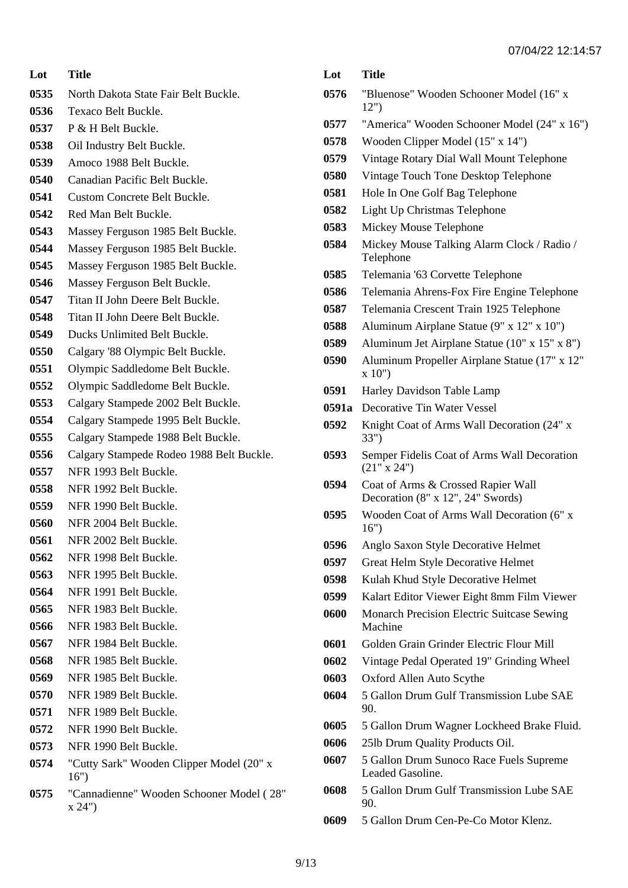**Lot Title** North Dakota State Fair Belt Buckle. Texaco Belt Buckle. P & H Belt Buckle. Oil Industry Belt Buckle. Amoco 1988 Belt Buckle. Canadian Pacific Belt Buckle. Custom Concrete Belt Buckle. Red Man Belt Buckle. Massey Ferguson 1985 Belt Buckle. Massey Ferguson 1985 Belt Buckle. Massey Ferguson 1985 Belt Buckle. Massey Ferguson Belt Buckle. Titan II John Deere Belt Buckle. Titan II John Deere Belt Buckle. Ducks Unlimited Belt Buckle. Calgary '88 Olympic Belt Buckle. Olympic Saddledome Belt Buckle. Olympic Saddledome Belt Buckle. Calgary Stampede 2002 Belt Buckle. Calgary Stampede 1995 Belt Buckle. Calgary Stampede 1988 Belt Buckle. Calgary Stampede Rodeo 1988 Belt Buckle. NFR 1993 Belt Buckle. NFR 1992 Belt Buckle. NFR 1990 Belt Buckle. NFR 2004 Belt Buckle. NFR 2002 Belt Buckle. NFR 1998 Belt Buckle. NFR 1995 Belt Buckle. NFR 1991 Belt Buckle. NFR 1983 Belt Buckle. NFR 1983 Belt Buckle. NFR 1984 Belt Buckle. NFR 1985 Belt Buckle. NFR 1985 Belt Buckle. NFR 1989 Belt Buckle. NFR 1989 Belt Buckle. NFR 1990 Belt Buckle. NFR 1990 Belt Buckle. "Cutty Sark" Wooden Clipper Model (20" x 16") "Cannadienne" Wooden Schooner Model ( 28" x 24")

| Lot   | Title                                                                   |
|-------|-------------------------------------------------------------------------|
| 0576  | "Bluenose" Wooden Schooner Model (16" x<br>12")                         |
| 0577  | "America" Wooden Schooner Model (24" x 16")                             |
| 0578  | Wooden Clipper Model (15" x 14")                                        |
| 0579  | Vintage Rotary Dial Wall Mount Telephone                                |
| 0580  | Vintage Touch Tone Desktop Telephone                                    |
| 0581  | Hole In One Golf Bag Telephone                                          |
| 0582  | Light Up Christmas Telephone                                            |
| 0583  | Mickey Mouse Telephone                                                  |
| 0584  | Mickey Mouse Talking Alarm Clock / Radio /<br>Telephone                 |
| 0585  | Telemania '63 Corvette Telephone                                        |
| 0586  | Telemania Ahrens-Fox Fire Engine Telephone                              |
| 0587  | Telemania Crescent Train 1925 Telephone                                 |
| 0588  | Aluminum Airplane Statue (9" x 12" x 10")                               |
| 0589  | Aluminum Jet Airplane Statue (10" x 15" x 8")                           |
| 0590  | Aluminum Propeller Airplane Statue (17" x 12"<br>x 10"                  |
| 0591  | Harley Davidson Table Lamp                                              |
| 0591a | Decorative Tin Water Vessel                                             |
| 0592  | Knight Coat of Arms Wall Decoration (24" x<br>33")                      |
| 0593  | Semper Fidelis Coat of Arms Wall Decoration<br>(21" x 24")              |
| 0594  | Coat of Arms & Crossed Rapier Wall<br>Decoration (8" x 12", 24" Swords) |
| 0595  | Wooden Coat of Arms Wall Decoration (6" x<br>16")                       |
| 0596  | Anglo Saxon Style Decorative Helmet                                     |
| 0597  | Great Helm Style Decorative Helmet                                      |
| 0598  | Kulah Khud Style Decorative Helmet                                      |
| 0599  | Kalart Editor Viewer Eight 8mm Film Viewer                              |
| 0600  | <b>Monarch Precision Electric Suitcase Sewing</b><br>Machine            |
| 0601  | Golden Grain Grinder Electric Flour Mill                                |
| 0602  | Vintage Pedal Operated 19" Grinding Wheel                               |
| 0603  | Oxford Allen Auto Scythe                                                |
| 0604  | 5 Gallon Drum Gulf Transmission Lube SAE<br>90.                         |
| 0605  | 5 Gallon Drum Wagner Lockheed Brake Fluid.                              |
| 0606  | 251b Drum Quality Products Oil.                                         |
| 0607  | 5 Gallon Drum Sunoco Race Fuels Supreme<br>Leaded Gasoline.             |
| 0608  | 5 Gallon Drum Gulf Transmission Lube SAE<br>90.                         |
| 0609  | 5 Gallon Drum Cen-Pe-Co Motor Klenz.                                    |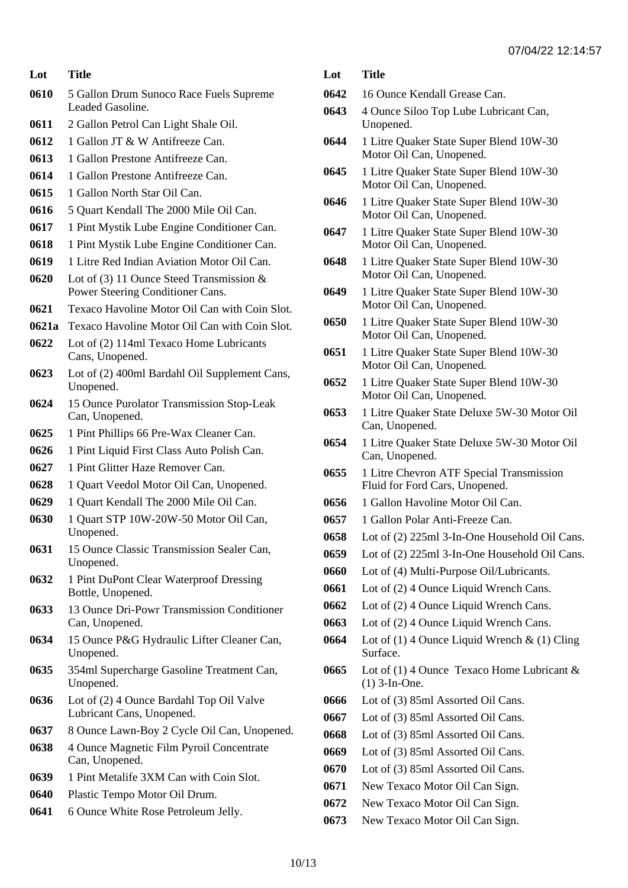- 5 Gallon Drum Sunoco Race Fuels Supreme Leaded Gasoline.
- 2 Gallon Petrol Can Light Shale Oil.
- 1 Gallon JT & W Antifreeze Can.
- 1 Gallon Prestone Antifreeze Can.
- 1 Gallon Prestone Antifreeze Can.
- 1 Gallon North Star Oil Can.
- 5 Quart Kendall The 2000 Mile Oil Can.
- 1 Pint Mystik Lube Engine Conditioner Can.
- 1 Pint Mystik Lube Engine Conditioner Can.
- 1 Litre Red Indian Aviation Motor Oil Can.
- Lot of (3) 11 Ounce Steed Transmission & Power Steering Conditioner Cans.
- Texaco Havoline Motor Oil Can with Coin Slot.
- **0621a** Texaco Havoline Motor Oil Can with Coin Slot.
- Lot of (2) 114ml Texaco Home Lubricants Cans, Unopened.
- Lot of (2) 400ml Bardahl Oil Supplement Cans, Unopened.
- 15 Ounce Purolator Transmission Stop-Leak Can, Unopened.
- 1 Pint Phillips 66 Pre-Wax Cleaner Can.
- 1 Pint Liquid First Class Auto Polish Can.
- 1 Pint Glitter Haze Remover Can.
- 1 Quart Veedol Motor Oil Can, Unopened.
- 1 Quart Kendall The 2000 Mile Oil Can.
- 1 Quart STP 10W-20W-50 Motor Oil Can, Unopened.
- 15 Ounce Classic Transmission Sealer Can, Unopened.
- 1 Pint DuPont Clear Waterproof Dressing Bottle, Unopened.
- 13 Ounce Dri-Powr Transmission Conditioner Can, Unopened.
- 15 Ounce P&G Hydraulic Lifter Cleaner Can, Unopened.
- 354ml Supercharge Gasoline Treatment Can, Unopened.
- Lot of (2) 4 Ounce Bardahl Top Oil Valve Lubricant Cans, Unopened.
- 8 Ounce Lawn-Boy 2 Cycle Oil Can, Unopened.
- 4 Ounce Magnetic Film Pyroil Concentrate Can, Unopened.
- 1 Pint Metalife 3XM Can with Coin Slot.
- Plastic Tempo Motor Oil Drum.
- 6 Ounce White Rose Petroleum Jelly.
- **Lot Title**
- 16 Ounce Kendall Grease Can.
- 4 Ounce Siloo Top Lube Lubricant Can, Unopened.
- 1 Litre Quaker State Super Blend 10W-30 Motor Oil Can, Unopened.
- 1 Litre Quaker State Super Blend 10W-30 Motor Oil Can, Unopened.
- 1 Litre Quaker State Super Blend 10W-30 Motor Oil Can, Unopened.
- 1 Litre Quaker State Super Blend 10W-30 Motor Oil Can, Unopened.
- 1 Litre Quaker State Super Blend 10W-30 Motor Oil Can, Unopened.
- 1 Litre Quaker State Super Blend 10W-30 Motor Oil Can, Unopened.
- 1 Litre Quaker State Super Blend 10W-30 Motor Oil Can, Unopened.
- 1 Litre Quaker State Super Blend 10W-30 Motor Oil Can, Unopened.
- 1 Litre Quaker State Super Blend 10W-30 Motor Oil Can, Unopened.
- 1 Litre Quaker State Deluxe 5W-30 Motor Oil Can, Unopened.
- 1 Litre Quaker State Deluxe 5W-30 Motor Oil Can, Unopened.
- 1 Litre Chevron ATF Special Transmission Fluid for Ford Cars, Unopened.
- 1 Gallon Havoline Motor Oil Can.
- 1 Gallon Polar Anti-Freeze Can.
- Lot of (2) 225ml 3-In-One Household Oil Cans.
- Lot of (2) 225ml 3-In-One Household Oil Cans.
- Lot of (4) Multi-Purpose Oil/Lubricants.
- Lot of (2) 4 Ounce Liquid Wrench Cans.
- Lot of (2) 4 Ounce Liquid Wrench Cans.
- Lot of (2) 4 Ounce Liquid Wrench Cans.
- Lot of (1) 4 Ounce Liquid Wrench & (1) Cling Surface.
- Lot of (1) 4 Ounce Texaco Home Lubricant & (1) 3-In-One.
- Lot of (3) 85ml Assorted Oil Cans.
- Lot of (3) 85ml Assorted Oil Cans.
- Lot of (3) 85ml Assorted Oil Cans.
- Lot of (3) 85ml Assorted Oil Cans.
- Lot of (3) 85ml Assorted Oil Cans.
- New Texaco Motor Oil Can Sign.
- New Texaco Motor Oil Can Sign.
- New Texaco Motor Oil Can Sign.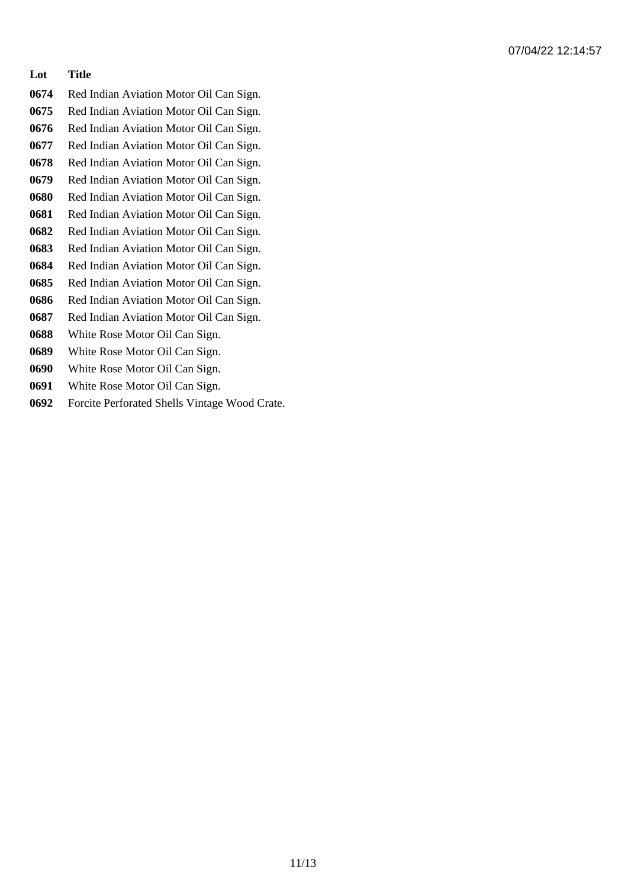- Red Indian Aviation Motor Oil Can Sign.
- Red Indian Aviation Motor Oil Can Sign.
- Red Indian Aviation Motor Oil Can Sign.
- Red Indian Aviation Motor Oil Can Sign.
- Red Indian Aviation Motor Oil Can Sign.
- Red Indian Aviation Motor Oil Can Sign. Red Indian Aviation Motor Oil Can Sign.
- Red Indian Aviation Motor Oil Can Sign.
- Red Indian Aviation Motor Oil Can Sign.
- Red Indian Aviation Motor Oil Can Sign.
- Red Indian Aviation Motor Oil Can Sign.
- Red Indian Aviation Motor Oil Can Sign.
- Red Indian Aviation Motor Oil Can Sign.
- Red Indian Aviation Motor Oil Can Sign.
- White Rose Motor Oil Can Sign.
- White Rose Motor Oil Can Sign.
- White Rose Motor Oil Can Sign.
- White Rose Motor Oil Can Sign.
- Forcite Perforated Shells Vintage Wood Crate.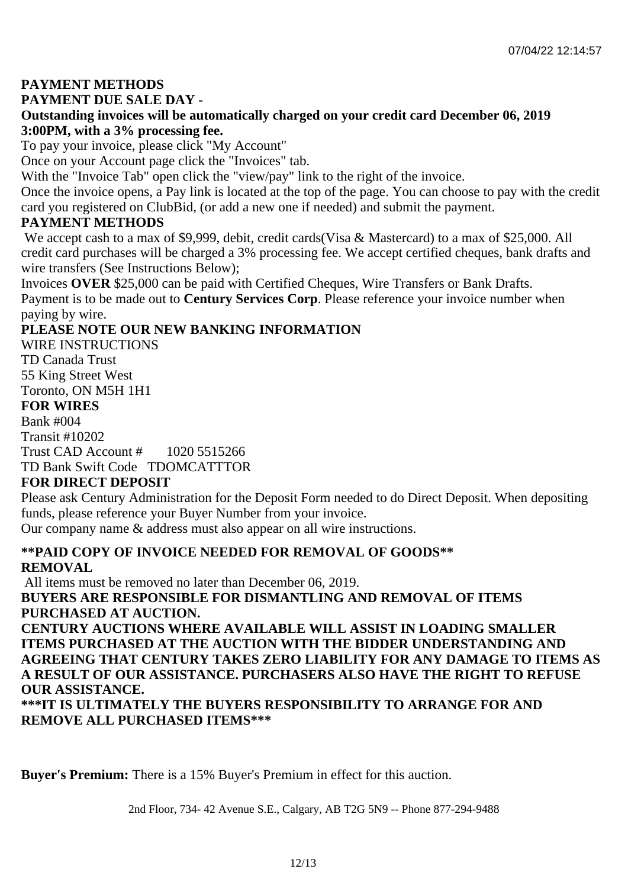## **PAYMENT METHODS**

#### **PAYMENT DUE SALE DAY -**

## **Outstanding invoices will be automatically charged on your credit card December 06, 2019 3:00PM, with a 3% processing fee.**

To pay your invoice, please click "My Account"

Once on your Account page click the "Invoices" tab.

With the "Invoice Tab" open click the "view/pay" link to the right of the invoice.

Once the invoice opens, a Pay link is located at the top of the page. You can choose to pay with the credit card you registered on ClubBid, (or add a new one if needed) and submit the payment.

## **PAYMENT METHODS**

We accept cash to a max of \$9,999, debit, credit cards(Visa & Mastercard) to a max of \$25,000. All credit card purchases will be charged a 3% processing fee. We accept certified cheques, bank drafts and wire transfers (See Instructions Below);

Invoices **OVER** \$25,000 can be paid with Certified Cheques, Wire Transfers or Bank Drafts. Payment is to be made out to **Century Services Corp**. Please reference your invoice number when paying by wire.

## **PLEASE NOTE OUR NEW BANKING INFORMATION**

WIRE INSTRUCTIONS TD Canada Trust 55 King Street West Toronto, ON M5H 1H1 **FOR WIRES** Bank #004 Transit #10202 Trust CAD Account # 1020 5515266 TD Bank Swift Code TDOMCATTTOR **FOR DIRECT DEPOSIT**

Please ask Century Administration for the Deposit Form needed to do Direct Deposit. When depositing funds, please reference your Buyer Number from your invoice.

Our company name & address must also appear on all wire instructions.

## **\*\*PAID COPY OF INVOICE NEEDED FOR REMOVAL OF GOODS\*\* REMOVAL**

All items must be removed no later than December 06, 2019. **BUYERS ARE RESPONSIBLE FOR DISMANTLING AND REMOVAL OF ITEMS PURCHASED AT AUCTION.**

**CENTURY AUCTIONS WHERE AVAILABLE WILL ASSIST IN LOADING SMALLER ITEMS PURCHASED AT THE AUCTION WITH THE BIDDER UNDERSTANDING AND AGREEING THAT CENTURY TAKES ZERO LIABILITY FOR ANY DAMAGE TO ITEMS AS A RESULT OF OUR ASSISTANCE. PURCHASERS ALSO HAVE THE RIGHT TO REFUSE OUR ASSISTANCE.**

**\*\*\*IT IS ULTIMATELY THE BUYERS RESPONSIBILITY TO ARRANGE FOR AND REMOVE ALL PURCHASED ITEMS\*\*\*** 

**Buyer's Premium:** There is a 15% Buyer's Premium in effect for this auction.

2nd Floor, 734- 42 Avenue S.E., Calgary, AB T2G 5N9 -- Phone 877-294-9488